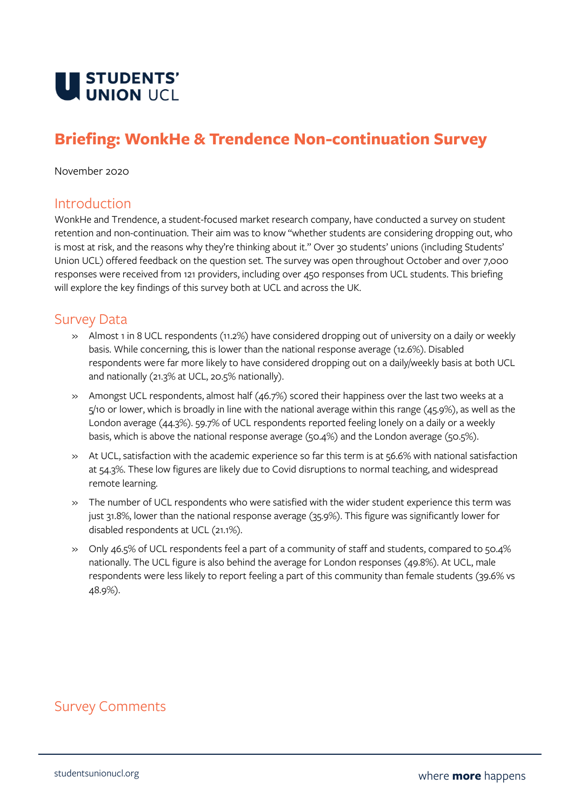

## **Briefing: WonkHe & Trendence Non-continuation Survey**

November 2020

## Introduction

WonkHe and Trendence, a student-focused market research company, have conducted a survey on student retention and non-continuation. Their aim was to know "whether students are considering dropping out, who is most at risk, and the reasons why they're thinking about it." Over 30 students' unions (including Students' Union UCL) offered feedback on the question set. The survey was open throughout October and over 7,000 responses were received from 121 providers, including over 450 responses from UCL students. This briefing will explore the key findings of this survey both at UCL and across the UK.

## Survey Data

- » Almost 1 in 8 UCL respondents (11.2%) have considered dropping out of university on a daily or weekly basis. While concerning, this is lower than the national response average (12.6%). Disabled respondents were far more likely to have considered dropping out on a daily/weekly basis at both UCL and nationally (21.3% at UCL, 20.5% nationally).
- » Amongst UCL respondents, almost half (46.7%) scored their happiness over the last two weeks at a 5/10 or lower, which is broadly in line with the national average within this range (45.9%), as well as the London average (44.3%). 59.7% of UCL respondents reported feeling lonely on a daily or a weekly basis, which is above the national response average (50.4%) and the London average (50.5%).
- » At UCL, satisfaction with the academic experience so far this term is at 56.6% with national satisfaction at 54.3%. These low figures are likely due to Covid disruptions to normal teaching, and widespread remote learning.
- » The number of UCL respondents who were satisfied with the wider student experience this term was just 31.8%, lower than the national response average (35.9%). This figure was significantly lower for disabled respondents at UCL (21.1%).
- » Only 46.5% of UCL respondents feel a part of a community of staff and students, compared to 50.4% nationally. The UCL figure is also behind the average for London responses (49.8%). At UCL, male respondents were less likely to report feeling a part of this community than female students (39.6% vs 48.9%).

## Survey Comments